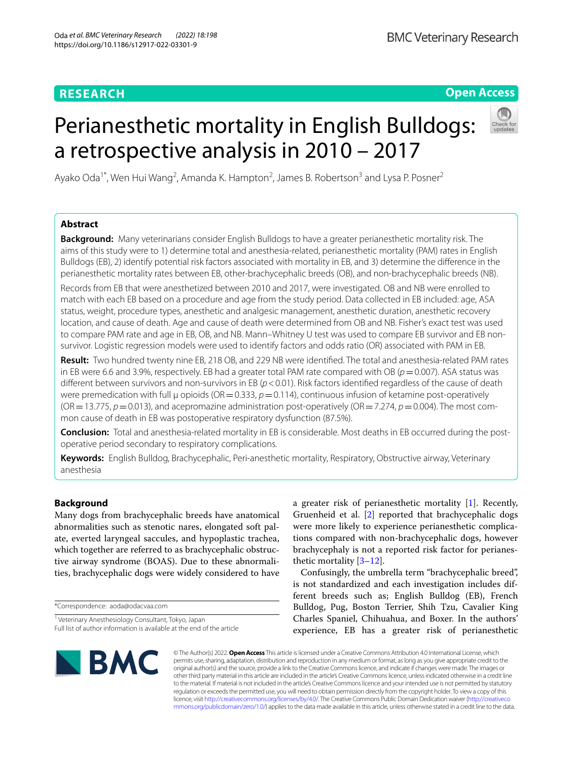# **RESEARCH**

# **Open Access**

# Perianesthetic mortality in English Bulldogs: a retrospective analysis in 2010 – 2017



Ayako Oda<sup>1\*</sup>, Wen Hui Wang<sup>2</sup>, Amanda K. Hampton<sup>2</sup>, James B. Robertson<sup>3</sup> and Lysa P. Posner<sup>2</sup>

# **Abstract**

**Background:** Many veterinarians consider English Bulldogs to have a greater perianesthetic mortality risk. The aims of this study were to 1) determine total and anesthesia-related, perianesthetic mortality (PAM) rates in English Bulldogs (EB), 2) identify potential risk factors associated with mortality in EB, and 3) determine the diference in the perianesthetic mortality rates between EB, other-brachycephalic breeds (OB), and non-brachycephalic breeds (NB).

Records from EB that were anesthetized between 2010 and 2017, were investigated. OB and NB were enrolled to match with each EB based on a procedure and age from the study period. Data collected in EB included: age, ASA status, weight, procedure types, anesthetic and analgesic management, anesthetic duration, anesthetic recovery location, and cause of death. Age and cause of death were determined from OB and NB. Fisher's exact test was used to compare PAM rate and age in EB, OB, and NB. Mann–Whitney U test was used to compare EB survivor and EB nonsurvivor. Logistic regression models were used to identify factors and odds ratio (OR) associated with PAM in EB.

**Result:** Two hundred twenty nine EB, 218 OB, and 229 NB were identifed. The total and anesthesia-related PAM rates in EB were 6.6 and 3.9%, respectively. EB had a greater total PAM rate compared with OB ( $p=0.007$ ). ASA status was different between survivors and non-survivors in EB ( $p$  < 0.01). Risk factors identified regardless of the cause of death were premedication with full μ opioids (OR=0.333, *p*=0.114), continuous infusion of ketamine post-operatively ( $OR = 13.775$ ,  $p = 0.013$ ), and acepromazine administration post-operatively ( $OR = 7.274$ ,  $p = 0.004$ ). The most common cause of death in EB was postoperative respiratory dysfunction (87.5%).

**Conclusion:** Total and anesthesia-related mortality in EB is considerable. Most deaths in EB occurred during the postoperative period secondary to respiratory complications.

**Keywords:** English Bulldog, Brachycephalic, Peri-anesthetic mortality, Respiratory, Obstructive airway, Veterinary anesthesia

# **Background**

Many dogs from brachycephalic breeds have anatomical abnormalities such as stenotic nares, elongated soft palate, everted laryngeal saccules, and hypoplastic trachea, which together are referred to as brachycephalic obstructive airway syndrome (BOAS). Due to these abnormalities, brachycephalic dogs were widely considered to have

\*Correspondence: aoda@odacvaa.com

<sup>1</sup> Veterinary Anesthesiology Consultant, Tokyo, Japan Full list of author information is available at the end of the article

a greater risk of perianesthetic mortality [[1\]](#page-7-0). Recently, Gruenheid et al. [[2\]](#page-7-1) reported that brachycephalic dogs were more likely to experience perianesthetic complications compared with non-brachycephalic dogs, however brachycephaly is not a reported risk factor for perianesthetic mortality [[3–](#page-7-2)[12\]](#page-8-0).

Confusingly, the umbrella term "brachycephalic breed", is not standardized and each investigation includes different breeds such as; English Bulldog (EB), French Bulldog, Pug, Boston Terrier, Shih Tzu, Cavalier King Charles Spaniel, Chihuahua, and Boxer. In the authors' experience, EB has a greater risk of perianesthetic



© The Author(s) 2022. **Open Access** This article is licensed under a Creative Commons Attribution 4.0 International License, which permits use, sharing, adaptation, distribution and reproduction in any medium or format, as long as you give appropriate credit to the original author(s) and the source, provide a link to the Creative Commons licence, and indicate if changes were made. The images or other third party material in this article are included in the article's Creative Commons licence, unless indicated otherwise in a credit line to the material. If material is not included in the article's Creative Commons licence and your intended use is not permitted by statutory regulation or exceeds the permitted use, you will need to obtain permission directly from the copyright holder. To view a copy of this licence, visit [http://creativecommons.org/licenses/by/4.0/.](http://creativecommons.org/licenses/by/4.0/) The Creative Commons Public Domain Dedication waiver ([http://creativeco](http://creativecommons.org/publicdomain/zero/1.0/) [mmons.org/publicdomain/zero/1.0/](http://creativecommons.org/publicdomain/zero/1.0/)) applies to the data made available in this article, unless otherwise stated in a credit line to the data.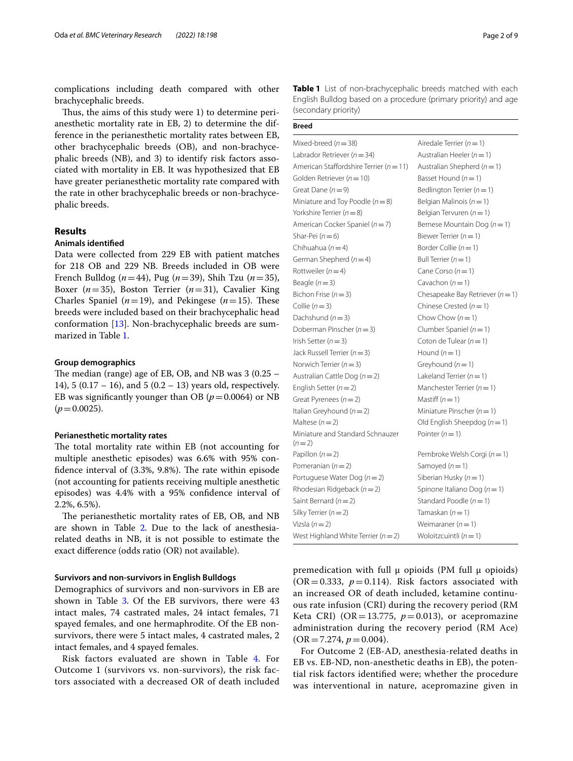complications including death compared with other brachycephalic breeds.

Thus, the aims of this study were 1) to determine perianesthetic mortality rate in EB, 2) to determine the difference in the perianesthetic mortality rates between EB, other brachycephalic breeds (OB), and non-brachycephalic breeds (NB), and 3) to identify risk factors associated with mortality in EB. It was hypothesized that EB have greater perianesthetic mortality rate compared with the rate in other brachycephalic breeds or non-brachycephalic breeds.

## **Results**

## **Animals identifed**

Data were collected from 229 EB with patient matches for 218 OB and 229 NB. Breeds included in OB were French Bulldog (*n*=44), Pug (*n*=39), Shih Tzu (*n*=35), Boxer  $(n=35)$ , Boston Terrier  $(n=31)$ , Cavalier King Charles Spaniel  $(n=19)$ , and Pekingese  $(n=15)$ . These breeds were included based on their brachycephalic head conformation [[13\]](#page-8-1). Non-brachycephalic breeds are summarized in Table [1](#page-1-0).

## **Group demographics**

The median (range) age of EB, OB, and NB was  $3(0.25 -$ 14), 5 (0.17 – 16), and 5 (0.2 – 13) years old, respectively. EB was significantly younger than OB ( $p = 0.0064$ ) or NB  $(p=0.0025)$ .

## **Perianesthetic mortality rates**

The total mortality rate within EB (not accounting for multiple anesthetic episodes) was 6.6% with 95% confidence interval of  $(3.3\%, 9.8\%)$ . The rate within episode (not accounting for patients receiving multiple anesthetic episodes) was 4.4% with a 95% confdence interval of 2.2%, 6.5%).

The perianesthetic mortality rates of EB, OB, and NB are shown in Table [2.](#page-2-0) Due to the lack of anesthesiarelated deaths in NB, it is not possible to estimate the exact diference (odds ratio (OR) not available).

## **Survivors and non‑survivors in English Bulldogs**

Demographics of survivors and non-survivors in EB are shown in Table [3.](#page-2-1) Of the EB survivors, there were 43 intact males, 74 castrated males, 24 intact females, 71 spayed females, and one hermaphrodite. Of the EB nonsurvivors, there were 5 intact males, 4 castrated males, 2 intact females, and 4 spayed females.

Risk factors evaluated are shown in Table [4](#page-3-0). For Outcome 1 (survivors vs. non-survivors), the risk factors associated with a decreased OR of death included

| Page 2 of 9 |  |  |  |
|-------------|--|--|--|
|-------------|--|--|--|

<span id="page-1-0"></span>**Table 1** List of non-brachycephalic breeds matched with each English Bulldog based on a procedure (primary priority) and age (secondary priority)

**Breed**

| Mixed-breed $(n=38)$                        | Airedale Terrier ( $n = 1$ )         |
|---------------------------------------------|--------------------------------------|
| Labrador Retriever ( $n = 34$ )             | Australian Heeler ( $n = 1$ )        |
| American Staffordshire Terrier ( $n = 11$ ) | Australian Shepherd ( $n = 1$ )      |
| Golden Retriever ( $n = 10$ )               | Basset Hound $(n=1)$                 |
| Great Dane $(n=9)$                          | Bedlington Terrier ( $n = 1$ )       |
| Miniature and Toy Poodle ( $n = 8$ )        | Belgian Malinois ( $n = 1$ )         |
| Yorkshire Terrier ( $n = 8$ )               | Belgian Tervuren ( $n = 1$ )         |
| American Cocker Spaniel ( $n = 7$ )         | Bernese Mountain Dog $(n=1)$         |
| Shar-Pei $(n=6)$                            | Biewer Terrier ( $n = 1$ )           |
| Chihuahua ( $n = 4$ )                       | Border Collie $(n=1)$                |
| German Shepherd ( $n = 4$ )                 | Bull Terrier $(n=1)$                 |
| Rottweiler ( $n = 4$ )                      | Cane Corso $(n=1)$                   |
| Beagle $(n=3)$                              | Cavachon $(n=1)$                     |
| Bichon Frise $(n=3)$                        | Chesapeake Bay Retriever ( $n = 1$ ) |
| Collie $(n=3)$                              | Chinese Crested $(n=1)$              |
| Dachshund $(n=3)$                           | Chow Chow $(n=1)$                    |
| Doberman Pinscher ( $n = 3$ )               | Clumber Spaniel $(n = 1)$            |
| Irish Setter ( $n = 3$ )                    | Coton de Tulear ( $n = 1$ )          |
| Jack Russell Terrier ( $n = 3$ )            | Hound $(n=1)$                        |
| Norwich Terrier ( $n = 3$ )                 | Greyhound $(n=1)$                    |
| Australian Cattle Dog ( $n = 2$ )           | Lakeland Terrier $(n=1)$             |
| English Setter ( $n = 2$ )                  | Manchester Terrier ( $n = 1$ )       |
| Great Pyrenees $(n=2)$                      | Mastiff $(n=1)$                      |
| Italian Greyhound ( $n = 2$ )               | Miniature Pinscher ( $n = 1$ )       |
| Maltese $(n=2)$                             | Old English Sheepdog $(n=1)$         |
| Miniature and Standard Schnauzer<br>$(n=2)$ | Pointer $(n=1)$                      |
| Papillon $(n=2)$                            | Pembroke Welsh Corgi ( $n = 1$ )     |
| Pomeranian $(n=2)$                          | Samoyed $(n=1)$                      |
| Portuguese Water Dog $(n=2)$                | Siberian Husky ( $n = 1$ )           |
| Rhodesian Ridgeback ( $n = 2$ )             | Spinone Italiano Dog ( $n = 1$ )     |
| Saint Bernard $(n=2)$                       | Standard Poodle $(n=1)$              |
| Silky Terrier $(n=2)$                       | Tamaskan $(n=1)$                     |
| Vizsla $(n=2)$                              | Weimaraner $(n=1)$                   |
| West Highland White Terrier ( $n = 2$ )     | Woloitzcuintli $(n=1)$               |

premedication with full  $\mu$  opioids (PM full  $\mu$  opioids)  $(OR = 0.333, p = 0.114)$ . Risk factors associated with an increased OR of death included, ketamine continuous rate infusion (CRI) during the recovery period (RM Keta CRI) (OR=13.775,  $p=0.013$ ), or acepromazine administration during the recovery period (RM Ace)  $(OR = 7.274, p = 0.004).$ 

For Outcome 2 (EB-AD, anesthesia-related deaths in EB vs. EB-ND, non-anesthetic deaths in EB), the potential risk factors identifed were; whether the procedure was interventional in nature, acepromazine given in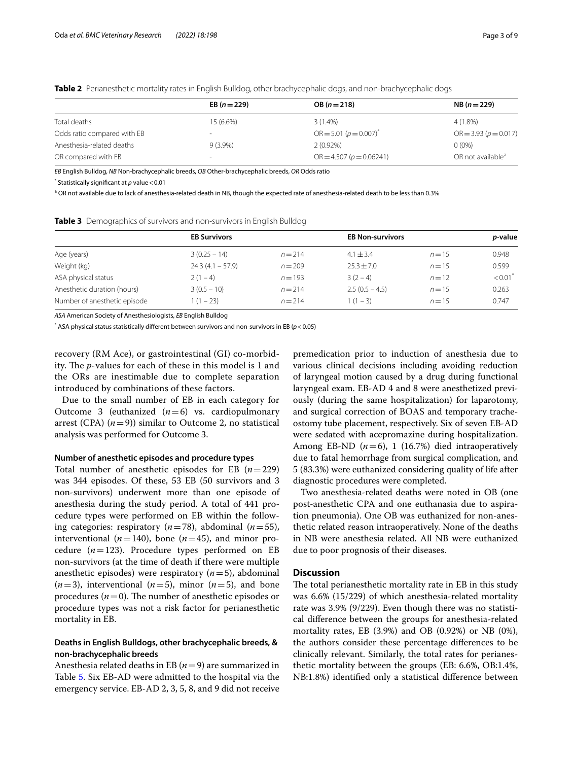|                             | EB $(n=229)$             | $OB (n = 218)$              | $NB (n = 229)$                |
|-----------------------------|--------------------------|-----------------------------|-------------------------------|
| Total deaths                | 15 (6.6%)                | $3(1.4\%)$                  | $4(1.8\%)$                    |
| Odds ratio compared with EB | $\overline{\phantom{a}}$ | $OR = 5.01 (p = 0.007)^{*}$ | $OR = 3.93 (p = 0.017)$       |
| Anesthesia-related deaths   | $9(3.9\%)$               | $2(0.92\%)$                 | $0(0\%)$                      |
| OR compared with EB         | $\sim$                   | $OR = 4.507 (p = 0.06241)$  | OR not available <sup>a</sup> |

<span id="page-2-0"></span>**Table 2** Perianesthetic mortality rates in English Bulldog, other brachycephalic dogs, and non-brachycephalic dogs

*EB* English Bulldog, *NB* Non-brachycephalic breeds, *OB* Other-brachycephalic breeds, *OR* Odds ratio

\* Statistically signifcant at *p* value<0.01

<sup>a</sup> OR not available due to lack of anesthesia-related death in NB, though the expected rate of anesthesia-related death to be less than 0.3%

|                             | <b>EB Survivors</b> |           | <b>EB Non-survivors</b> |          |                       |
|-----------------------------|---------------------|-----------|-------------------------|----------|-----------------------|
| Age (years)                 | $3(0.25 - 14)$      | $n = 214$ | $4.1 + 3.4$             | $n = 15$ | 0.948                 |
| Weight (kg)                 | $24.3(4.1 - 57.9)$  | $n = 209$ | $25.3 + 7.0$            | $n = 15$ | 0.599                 |
| ASA physical status         | $2(1-4)$            | $n = 193$ | $3(2-4)$                | $n=12$   | $< 0.01$ <sup>*</sup> |
| Anesthetic duration (hours) | $3(0.5 - 10)$       | $n = 214$ | $2.5(0.5 - 4.5)$        | $n = 15$ | 0.263                 |
|                             |                     |           |                         |          |                       |

Number of anesthetic episode 1 (1 – 23) **n** = 214 1 (1 – 3) **n** = 15 0.747

<span id="page-2-1"></span>**Table 3** Demographics of survivors and non-survivors in English Bulldog

*ASA* American Society of Anesthesiologists, *EB* English Bulldog

 $^*$  ASA physical status statistically different between survivors and non-survivors in EB ( $p$  < 0.05)  $^{\circ}$ 

recovery (RM Ace), or gastrointestinal (GI) co-morbidity. The *p*-values for each of these in this model is 1 and the ORs are inestimable due to complete separation introduced by combinations of these factors.

Due to the small number of EB in each category for Outcome 3 (euthanized  $(n=6)$  vs. cardiopulmonary arrest (CPA)  $(n=9)$ ) similar to Outcome 2, no statistical analysis was performed for Outcome 3.

#### **Number of anesthetic episodes and procedure types**

Total number of anesthetic episodes for EB (*n*=229) was 344 episodes. Of these, 53 EB (50 survivors and 3 non-survivors) underwent more than one episode of anesthesia during the study period. A total of 441 procedure types were performed on EB within the following categories: respiratory (*n*=78), abdominal (*n*=55), interventional  $(n=140)$ , bone  $(n=45)$ , and minor procedure  $(n=123)$ . Procedure types performed on EB non-survivors (at the time of death if there were multiple anesthetic episodes) were respiratory (*n*=5), abdominal  $(n=3)$ , interventional  $(n=5)$ , minor  $(n=5)$ , and bone procedures  $(n=0)$ . The number of anesthetic episodes or procedure types was not a risk factor for perianesthetic mortality in EB.

## **Deaths in English Bulldogs, other brachycephalic breeds, & non‑brachycephalic breeds**

Anesthesia related deaths in EB (*n*=9) are summarized in Table [5.](#page-4-0) Six EB-AD were admitted to the hospital via the emergency service. EB-AD 2, 3, 5, 8, and 9 did not receive

premedication prior to induction of anesthesia due to various clinical decisions including avoiding reduction of laryngeal motion caused by a drug during functional laryngeal exam. EB-AD 4 and 8 were anesthetized previously (during the same hospitalization) for laparotomy, and surgical correction of BOAS and temporary tracheostomy tube placement, respectively. Six of seven EB-AD were sedated with acepromazine during hospitalization. Among EB-ND  $(n=6)$ , 1 (16.7%) died intraoperatively due to fatal hemorrhage from surgical complication, and 5 (83.3%) were euthanized considering quality of life after diagnostic procedures were completed.

Two anesthesia-related deaths were noted in OB (one post-anesthetic CPA and one euthanasia due to aspiration pneumonia). One OB was euthanized for non-anesthetic related reason intraoperatively. None of the deaths in NB were anesthesia related. All NB were euthanized due to poor prognosis of their diseases.

## **Discussion**

The total perianesthetic mortality rate in EB in this study was 6.6% (15/229) of which anesthesia-related mortality rate was 3.9% (9/229). Even though there was no statistical diference between the groups for anesthesia-related mortality rates, EB (3.9%) and OB (0.92%) or NB (0%), the authors consider these percentage diferences to be clinically relevant. Similarly, the total rates for perianesthetic mortality between the groups (EB: 6.6%, OB:1.4%, NB:1.8%) identifed only a statistical diference between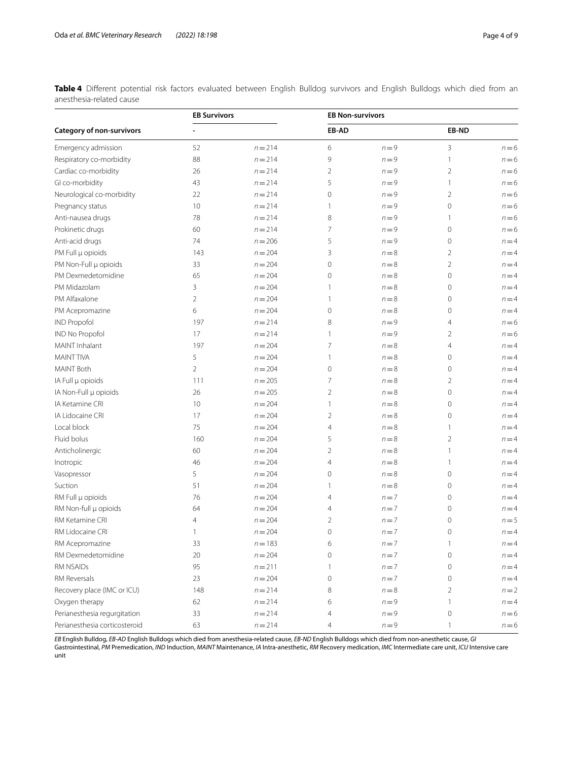<span id="page-3-0"></span>**Table 4** Diferent potential risk factors evaluated between English Bulldog survivors and English Bulldogs which died from an anesthesia-related cause

|                                  | <b>EB Survivors</b> |           | <b>EB Non-survivors</b> |         |                     |         |
|----------------------------------|---------------------|-----------|-------------------------|---------|---------------------|---------|
| <b>Category of non-survivors</b> |                     |           | EB-AD                   |         | EB-ND               |         |
| Emergency admission              | 52                  | $n = 214$ | 6                       | $n = 9$ | 3                   | $n = 6$ |
| Respiratory co-morbidity         | 88                  | $n = 214$ | 9                       | $n = 9$ | $\mathbf{1}$        | $n=6$   |
| Cardiac co-morbidity             | 26                  | $n = 214$ | $\overline{2}$          | $n = 9$ | $\overline{2}$      | $n = 6$ |
| GI co-morbidity                  | 43                  | $n = 214$ | 5                       | $n = 9$ | 1                   | $n = 6$ |
| Neurological co-morbidity        | 22                  | $n = 214$ | 0                       | $n = 9$ | $\overline{2}$      | $n = 6$ |
| Pregnancy status                 | 10                  | $n = 214$ | 1                       | $n = 9$ | $\mathbf 0$         | $n = 6$ |
| Anti-nausea drugs                | 78                  | $n = 214$ | 8                       | $n = 9$ | $\mathbf{1}$        | $n = 6$ |
| Prokinetic drugs                 | 60                  | $n = 214$ | 7                       | $n = 9$ | $\mathbf 0$         | $n = 6$ |
| Anti-acid drugs                  | 74                  | $n = 206$ | 5                       | $n = 9$ | $\mathbf 0$         | $n = 4$ |
| PM Full µ opioids                | 143                 | $n = 204$ | 3                       | $n = 8$ | 2                   | $n = 4$ |
| PM Non-Full µ opioids            | 33                  | $n = 204$ | 0                       | $n = 8$ | $\overline{2}$      | $n = 4$ |
| PM Dexmedetomidine               | 65                  | $n = 204$ | 0                       | $n = 8$ | $\mathbf 0$         | $n = 4$ |
| PM Midazolam                     | 3                   | $n = 204$ | 1                       | $n = 8$ | 0                   | $n = 4$ |
| PM Alfaxalone                    | $\overline{2}$      | $n = 204$ | 1                       | $n = 8$ | 0                   | $n = 4$ |
| PM Acepromazine                  | 6                   | $n = 204$ | 0                       | $n = 8$ | $\mathsf{O}\xspace$ | $n = 4$ |
| <b>IND Propofol</b>              | 197                 | $n = 214$ | 8                       | $n = 9$ | 4                   | $n = 6$ |
| <b>IND No Propofol</b>           | 17                  | $n = 214$ | 1                       | $n = 9$ | 2                   | $n = 6$ |
| <b>MAINT</b> Inhalant            | 197                 | $n = 204$ | 7                       | $n = 8$ | 4                   | $n = 4$ |
| <b>MAINT TIVA</b>                | 5                   | $n = 204$ | 1                       | $n = 8$ | $\mathbf 0$         | $n = 4$ |
| <b>MAINT Both</b>                | $\overline{2}$      | $n = 204$ | 0                       | $n = 8$ | 0                   | $n = 4$ |
| IA Full µ opioids                | 111                 | $n = 205$ | 7                       | $n = 8$ | 2                   | $n = 4$ |
| IA Non-Full µ opioids            | 26                  | $n = 205$ | 2                       | $n = 8$ | $\mathbf{0}$        | $n = 4$ |
| IA Ketamine CRI                  | 10                  | $n = 204$ | 1                       | $n = 8$ | $\circ$             | $n = 4$ |
| IA Lidocaine CRI                 | 17                  | $n = 204$ | $\overline{2}$          | $n = 8$ | $\mathbf{0}$        | $n = 4$ |
| Local block                      | 75                  | $n = 204$ | 4                       | $n = 8$ | 1                   | $n = 4$ |
| Fluid bolus                      | 160                 | $n = 204$ | 5                       | $n = 8$ | 2                   | $n = 4$ |
| Anticholinergic                  | 60                  | $n = 204$ | 2                       | $n = 8$ | 1                   | $n = 4$ |
| Inotropic                        | 46                  | $n = 204$ | 4                       | $n = 8$ | 1                   | $n = 4$ |
| Vasopressor                      | 5                   | $n = 204$ | 0                       | $n = 8$ | $\mathbf 0$         | $n = 4$ |
| Suction                          | 51                  | $n = 204$ | 1                       | $n = 8$ | $\mathbf{0}$        | $n = 4$ |
| RM Full µ opioids                | 76                  | $n = 204$ | 4                       | $n = 7$ | $\mathbf 0$         | $n = 4$ |
| RM Non-full µ opioids            | 64                  | $n = 204$ | 4                       | $n = 7$ | 0                   | $n = 4$ |
| RM Ketamine CRI                  | $\overline{4}$      | $n = 204$ | 2                       | $n=7$   | $\mathbf 0$         | $n=5$   |
| RM Lidocaine CRI                 | 1                   | $n = 204$ | $\mathbf 0$             | $n=7$   | $\mathbf 0$         | $n = 4$ |
| RM Acepromazine                  | 33                  | $n = 183$ | 6                       | $n = 7$ | 1                   | $n = 4$ |
| RM Dexmedetomidine               | 20                  | $n = 204$ | 0                       | $n = 7$ | $\circ$             | $n = 4$ |
| RM NSAIDs                        | 95                  | $n = 211$ | 1                       | $n = 7$ | $\circ$             | $n = 4$ |
| RM Reversals                     | 23                  | $n = 204$ | 0                       | $n=7$   | 0                   | $n = 4$ |
| Recovery place (IMC or ICU)      | 148                 | $n = 214$ | 8                       | $n = 8$ | 2                   | $n = 2$ |
| Oxygen therapy                   | 62                  | $n = 214$ | 6                       | $n = 9$ | $\mathbf{1}$        | $n = 4$ |
| Perianesthesia regurgitation     | 33                  | $n = 214$ | 4                       | $n = 9$ | $\mathsf{O}\xspace$ | $n = 6$ |
| Perianesthesia corticosteroid    | 63                  | $n = 214$ | 4                       | $n = 9$ | $\mathbf{1}$        | $n = 6$ |

*EB* English Bulldog, *EB-AD* English Bulldogs which died from anesthesia-related cause, *EB-ND* English Bulldogs which died from non-anesthetic cause, *GI*

Gastrointestinal, *PM* Premedication, *IND* Induction, *MAINT* Maintenance, *IA* Intra-anesthetic, *RM* Recovery medication, *IMC* Intermediate care unit, *ICU* Intensive care unit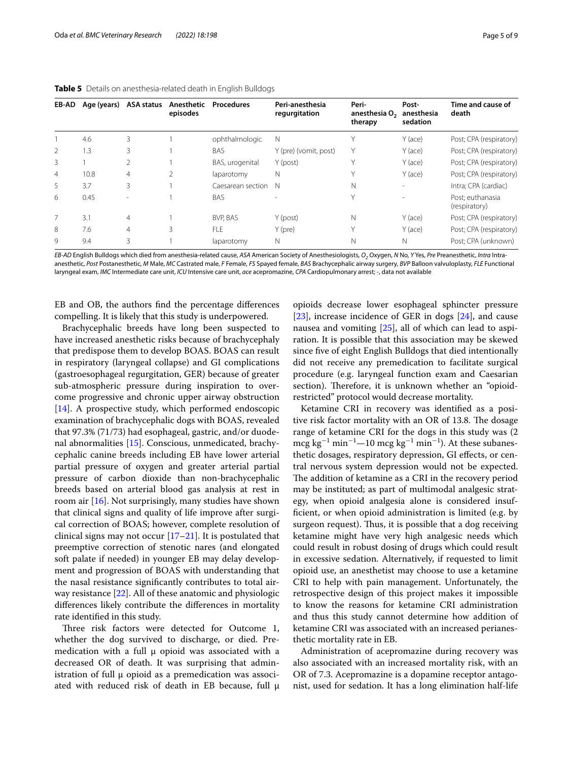| EB-AD          | Age (years) | ASA status     | Anesthetic<br>episodes | <b>Procedures</b> | Peri-anesthesia<br>regurgitation | Peri-<br>anesthesia O <sub>2</sub><br>therapy | Post-<br>anesthesia<br>sedation | Time and cause of<br>death        |
|----------------|-------------|----------------|------------------------|-------------------|----------------------------------|-----------------------------------------------|---------------------------------|-----------------------------------|
|                | 4.6         | 3              |                        | ophthalmologic    | N                                |                                               | Y (ace)                         | Post; CPA (respiratory)           |
| $\mathfrak{D}$ | 1.3         | 3              |                        | <b>BAS</b>        | Y (pre) (vomit, post)            | Y                                             | Y (ace)                         | Post; CPA (respiratory)           |
| 3              |             | 2              |                        | BAS, urogenital   | Y (post)                         | $\vee$                                        | Y (ace)                         | Post; CPA (respiratory)           |
| $\overline{4}$ | 10.8        | $\overline{4}$ | $\mathfrak{D}$         | laparotomy        | Ν                                | $\checkmark$                                  | Y (ace)                         | Post; CPA (respiratory)           |
| 5              | 3.7         | 3              |                        | Caesarean section | N                                | N                                             | ۰                               | Intra; CPA (cardiac)              |
| 6              | 0.45        |                |                        | BAS               |                                  | Υ                                             |                                 | Post: euthanasia<br>(respiratory) |
| 7              | 3.1         | 4              |                        | BVP. BAS          | Y (post)                         | $\mathsf{N}$                                  | Y (ace)                         | Post; CPA (respiratory)           |
| 8              | 7.6         | 4              | 3                      | <b>FLE</b>        | $Y$ (pre)                        | Y                                             | Y (ace)                         | Post; CPA (respiratory)           |
| $\mathsf{Q}$   | 9.4         | 3              |                        | laparotomy        | Ν                                | N                                             | N                               | Post: CPA (unknown)               |

<span id="page-4-0"></span>

|  |  | Table 5 Details on anesthesia-related death in English Bulldogs |  |  |
|--|--|-----------------------------------------------------------------|--|--|
|--|--|-----------------------------------------------------------------|--|--|

*EB-AD* English Bulldogs which died from anesthesia-related cause, *ASA* American Society of Anesthesiologists, *O2* Oxygen, *N* No, *Y* Yes, *Pre* Preanesthetic, *Intra* Intraanesthetic, *Post* Postanesthetic, *M* Male, *MC* Castrated male, *F* Female, *FS* Spayed female, *BAS* Brachycephalic airway surgery, *BVP* Balloon valvuloplasty, *FLE* Functional laryngeal exam, *IMC* Intermediate care unit, *ICU* Intensive care unit, *ace* acepromazine, *CPA* Cardiopulmonary arrest; -, data not available

EB and OB, the authors fnd the percentage diferences compelling. It is likely that this study is underpowered.

Brachycephalic breeds have long been suspected to have increased anesthetic risks because of brachycephaly that predispose them to develop BOAS. BOAS can result in respiratory (laryngeal collapse) and GI complications (gastroesophageal regurgitation, GER) because of greater sub-atmospheric pressure during inspiration to overcome progressive and chronic upper airway obstruction [[14\]](#page-8-2). A prospective study, which performed endoscopic examination of brachycephalic dogs with BOAS, revealed that 97.3% (71/73) had esophageal, gastric, and/or duodenal abnormalities [\[15](#page-8-3)]. Conscious, unmedicated, brachycephalic canine breeds including EB have lower arterial partial pressure of oxygen and greater arterial partial pressure of carbon dioxide than non-brachycephalic breeds based on arterial blood gas analysis at rest in room air [[16\]](#page-8-4). Not surprisingly, many studies have shown that clinical signs and quality of life improve after surgical correction of BOAS; however, complete resolution of clinical signs may not occur [[17–](#page-8-5)[21\]](#page-8-6). It is postulated that preemptive correction of stenotic nares (and elongated soft palate if needed) in younger EB may delay development and progression of BOAS with understanding that the nasal resistance signifcantly contributes to total airway resistance [[22\]](#page-8-7). All of these anatomic and physiologic diferences likely contribute the diferences in mortality rate identifed in this study.

Three risk factors were detected for Outcome 1, whether the dog survived to discharge, or died. Premedication with a full μ opioid was associated with a decreased OR of death. It was surprising that administration of full  $\mu$  opioid as a premedication was associated with reduced risk of death in EB because, full μ opioids decrease lower esophageal sphincter pressure [[23\]](#page-8-8), increase incidence of GER in dogs [\[24](#page-8-9)], and cause nausea and vomiting [[25\]](#page-8-10), all of which can lead to aspiration. It is possible that this association may be skewed since fve of eight English Bulldogs that died intentionally did not receive any premedication to facilitate surgical procedure (e.g. laryngeal function exam and Caesarian section). Therefore, it is unknown whether an "opioidrestricted" protocol would decrease mortality.

Ketamine CRI in recovery was identifed as a positive risk factor mortality with an OR of 13.8. The dosage range of ketamine CRI for the dogs in this study was (2 mcg kg<sup>-1</sup> min<sup>-1</sup>—10 mcg kg<sup>-1</sup> min<sup>-1</sup>). At these subanesthetic dosages, respiratory depression, GI effects, or central nervous system depression would not be expected. The addition of ketamine as a CRI in the recovery period may be instituted; as part of multimodal analgesic strategy, when opioid analgesia alone is considered insuffcient, or when opioid administration is limited (e.g. by surgeon request). Thus, it is possible that a dog receiving ketamine might have very high analgesic needs which could result in robust dosing of drugs which could result in excessive sedation. Alternatively, if requested to limit opioid use, an anesthetist may choose to use a ketamine CRI to help with pain management. Unfortunately, the retrospective design of this project makes it impossible to know the reasons for ketamine CRI administration and thus this study cannot determine how addition of ketamine CRI was associated with an increased perianesthetic mortality rate in EB.

Administration of acepromazine during recovery was also associated with an increased mortality risk, with an OR of 7.3. Acepromazine is a dopamine receptor antagonist, used for sedation. It has a long elimination half-life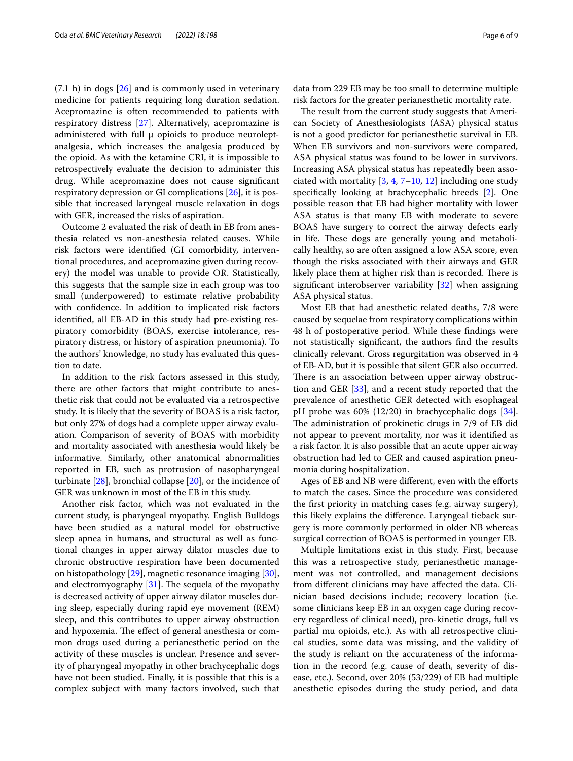$(7.1 \text{ h})$  in dogs  $[26]$  $[26]$  and is commonly used in veterinary medicine for patients requiring long duration sedation. Acepromazine is often recommended to patients with respiratory distress [\[27](#page-8-12)]. Alternatively, acepromazine is administered with full μ opioids to produce neuroleptanalgesia, which increases the analgesia produced by the opioid. As with the ketamine CRI, it is impossible to retrospectively evaluate the decision to administer this drug. While acepromazine does not cause signifcant respiratory depression or GI complications [[26](#page-8-11)], it is possible that increased laryngeal muscle relaxation in dogs with GER, increased the risks of aspiration.

Outcome 2 evaluated the risk of death in EB from anesthesia related vs non-anesthesia related causes. While risk factors were identifed (GI comorbidity, interventional procedures, and acepromazine given during recovery) the model was unable to provide OR. Statistically, this suggests that the sample size in each group was too small (underpowered) to estimate relative probability with confdence. In addition to implicated risk factors identifed, all EB-AD in this study had pre-existing respiratory comorbidity (BOAS, exercise intolerance, respiratory distress, or history of aspiration pneumonia). To the authors' knowledge, no study has evaluated this question to date.

In addition to the risk factors assessed in this study, there are other factors that might contribute to anesthetic risk that could not be evaluated via a retrospective study. It is likely that the severity of BOAS is a risk factor, but only 27% of dogs had a complete upper airway evaluation. Comparison of severity of BOAS with morbidity and mortality associated with anesthesia would likely be informative. Similarly, other anatomical abnormalities reported in EB, such as protrusion of nasopharyngeal turbinate [[28\]](#page-8-13), bronchial collapse [[20\]](#page-8-14), or the incidence of GER was unknown in most of the EB in this study.

Another risk factor, which was not evaluated in the current study, is pharyngeal myopathy. English Bulldogs have been studied as a natural model for obstructive sleep apnea in humans, and structural as well as functional changes in upper airway dilator muscles due to chronic obstructive respiration have been documented on histopathology [[29\]](#page-8-15), magnetic resonance imaging [\[30](#page-8-16)], and electromy graphy  $[31]$  $[31]$ . The sequela of the my opathy is decreased activity of upper airway dilator muscles during sleep, especially during rapid eye movement (REM) sleep, and this contributes to upper airway obstruction and hypoxemia. The effect of general anesthesia or common drugs used during a perianesthetic period on the activity of these muscles is unclear. Presence and severity of pharyngeal myopathy in other brachycephalic dogs have not been studied. Finally, it is possible that this is a complex subject with many factors involved, such that data from 229 EB may be too small to determine multiple risk factors for the greater perianesthetic mortality rate.

The result from the current study suggests that American Society of Anesthesiologists (ASA) physical status is not a good predictor for perianesthetic survival in EB. When EB survivors and non-survivors were compared, ASA physical status was found to be lower in survivors. Increasing ASA physical status has repeatedly been associated with mortality  $[3, 4, 7-10, 12]$  $[3, 4, 7-10, 12]$  $[3, 4, 7-10, 12]$  $[3, 4, 7-10, 12]$  $[3, 4, 7-10, 12]$  $[3, 4, 7-10, 12]$  $[3, 4, 7-10, 12]$  $[3, 4, 7-10, 12]$  including one study specifcally looking at brachycephalic breeds [\[2](#page-7-1)]. One possible reason that EB had higher mortality with lower ASA status is that many EB with moderate to severe BOAS have surgery to correct the airway defects early in life. These dogs are generally young and metabolically healthy, so are often assigned a low ASA score, even though the risks associated with their airways and GER likely place them at higher risk than is recorded. There is signifcant interobserver variability [[32](#page-8-18)] when assigning ASA physical status.

Most EB that had anesthetic related deaths, 7/8 were caused by sequelae from respiratory complications within 48 h of postoperative period. While these fndings were not statistically signifcant, the authors fnd the results clinically relevant. Gross regurgitation was observed in 4 of EB-AD, but it is possible that silent GER also occurred. There is an association between upper airway obstruction and GER [\[33](#page-8-19)], and a recent study reported that the prevalence of anesthetic GER detected with esophageal pH probe was 60% (12/20) in brachycephalic dogs [\[34](#page-8-20)]. The administration of prokinetic drugs in 7/9 of EB did not appear to prevent mortality, nor was it identifed as a risk factor. It is also possible that an acute upper airway obstruction had led to GER and caused aspiration pneumonia during hospitalization.

Ages of EB and NB were different, even with the efforts to match the cases. Since the procedure was considered the frst priority in matching cases (e.g. airway surgery), this likely explains the diference. Laryngeal tieback surgery is more commonly performed in older NB whereas surgical correction of BOAS is performed in younger EB.

Multiple limitations exist in this study. First, because this was a retrospective study, perianesthetic management was not controlled, and management decisions from diferent clinicians may have afected the data. Clinician based decisions include; recovery location (i.e. some clinicians keep EB in an oxygen cage during recovery regardless of clinical need), pro-kinetic drugs, full vs partial mu opioids, etc.). As with all retrospective clinical studies, some data was missing, and the validity of the study is reliant on the accurateness of the information in the record (e.g. cause of death, severity of disease, etc.). Second, over 20% (53/229) of EB had multiple anesthetic episodes during the study period, and data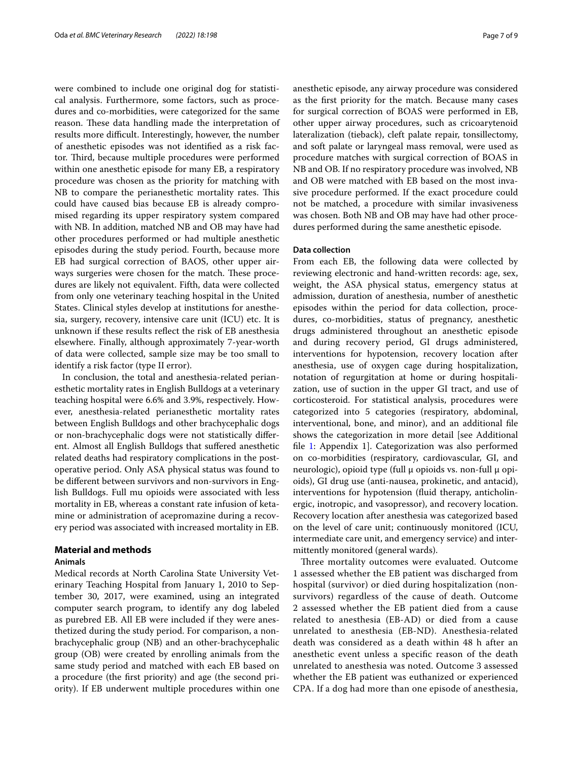were combined to include one original dog for statistical analysis. Furthermore, some factors, such as procedures and co-morbidities, were categorized for the same reason. These data handling made the interpretation of results more difficult. Interestingly, however, the number of anesthetic episodes was not identifed as a risk factor. Third, because multiple procedures were performed within one anesthetic episode for many EB, a respiratory procedure was chosen as the priority for matching with NB to compare the perianesthetic mortality rates. This could have caused bias because EB is already compromised regarding its upper respiratory system compared with NB. In addition, matched NB and OB may have had other procedures performed or had multiple anesthetic episodes during the study period. Fourth, because more EB had surgical correction of BAOS, other upper airways surgeries were chosen for the match. These procedures are likely not equivalent. Fifth, data were collected from only one veterinary teaching hospital in the United States. Clinical styles develop at institutions for anesthesia, surgery, recovery, intensive care unit (ICU) etc. It is unknown if these results refect the risk of EB anesthesia elsewhere. Finally, although approximately 7-year-worth of data were collected, sample size may be too small to identify a risk factor (type II error).

In conclusion, the total and anesthesia-related perianesthetic mortality rates in English Bulldogs at a veterinary teaching hospital were 6.6% and 3.9%, respectively. However, anesthesia-related perianesthetic mortality rates between English Bulldogs and other brachycephalic dogs or non-brachycephalic dogs were not statistically diferent. Almost all English Bulldogs that sufered anesthetic related deaths had respiratory complications in the postoperative period. Only ASA physical status was found to be diferent between survivors and non-survivors in English Bulldogs. Full mu opioids were associated with less mortality in EB, whereas a constant rate infusion of ketamine or administration of acepromazine during a recovery period was associated with increased mortality in EB.

## **Material and methods**

## **Animals**

Medical records at North Carolina State University Veterinary Teaching Hospital from January 1, 2010 to September 30, 2017, were examined, using an integrated computer search program, to identify any dog labeled as purebred EB. All EB were included if they were anesthetized during the study period. For comparison, a nonbrachycephalic group (NB) and an other-brachycephalic group (OB) were created by enrolling animals from the same study period and matched with each EB based on a procedure (the frst priority) and age (the second priority). If EB underwent multiple procedures within one anesthetic episode, any airway procedure was considered as the frst priority for the match. Because many cases for surgical correction of BOAS were performed in EB, other upper airway procedures, such as cricoarytenoid lateralization (tieback), cleft palate repair, tonsillectomy, and soft palate or laryngeal mass removal, were used as procedure matches with surgical correction of BOAS in NB and OB. If no respiratory procedure was involved, NB and OB were matched with EB based on the most invasive procedure performed. If the exact procedure could not be matched, a procedure with similar invasiveness was chosen. Both NB and OB may have had other procedures performed during the same anesthetic episode.

## **Data collection**

From each EB, the following data were collected by reviewing electronic and hand-written records: age, sex, weight, the ASA physical status, emergency status at admission, duration of anesthesia, number of anesthetic episodes within the period for data collection, procedures, co-morbidities, status of pregnancy, anesthetic drugs administered throughout an anesthetic episode and during recovery period, GI drugs administered, interventions for hypotension, recovery location after anesthesia, use of oxygen cage during hospitalization, notation of regurgitation at home or during hospitalization, use of suction in the upper GI tract, and use of corticosteroid. For statistical analysis, procedures were categorized into 5 categories (respiratory, abdominal, interventional, bone, and minor), and an additional fle shows the categorization in more detail [see Additional file [1](#page-7-6): Appendix 1]. Categorization was also performed on co-morbidities (respiratory, cardiovascular, GI, and neurologic), opioid type (full  $\mu$  opioids vs. non-full  $\mu$  opioids), GI drug use (anti-nausea, prokinetic, and antacid), interventions for hypotension (fuid therapy, anticholinergic, inotropic, and vasopressor), and recovery location. Recovery location after anesthesia was categorized based on the level of care unit; continuously monitored (ICU, intermediate care unit, and emergency service) and intermittently monitored (general wards).

Three mortality outcomes were evaluated. Outcome 1 assessed whether the EB patient was discharged from hospital (survivor) or died during hospitalization (nonsurvivors) regardless of the cause of death. Outcome 2 assessed whether the EB patient died from a cause related to anesthesia (EB-AD) or died from a cause unrelated to anesthesia (EB-ND). Anesthesia-related death was considered as a death within 48 h after an anesthetic event unless a specifc reason of the death unrelated to anesthesia was noted. Outcome 3 assessed whether the EB patient was euthanized or experienced CPA. If a dog had more than one episode of anesthesia,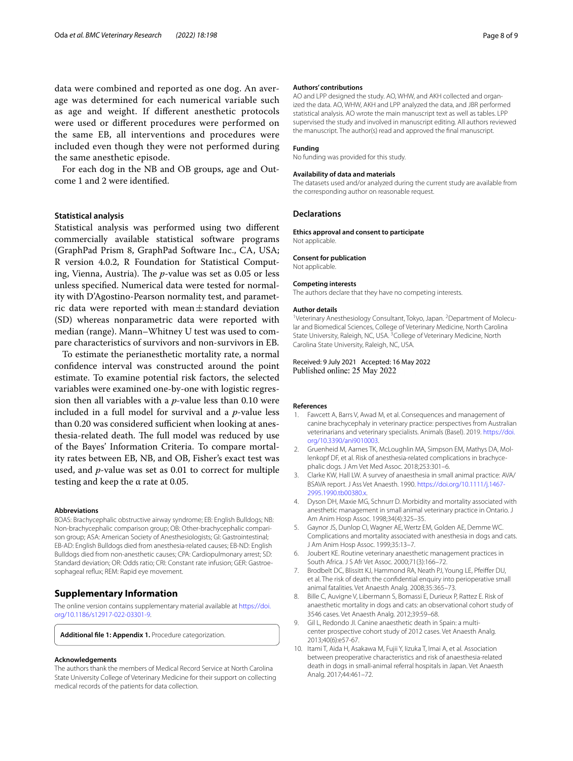data were combined and reported as one dog. An average was determined for each numerical variable such as age and weight. If diferent anesthetic protocols were used or diferent procedures were performed on the same EB, all interventions and procedures were included even though they were not performed during the same anesthetic episode.

For each dog in the NB and OB groups, age and Outcome 1 and 2 were identifed.

#### **Statistical analysis**

Statistical analysis was performed using two diferent commercially available statistical software programs (GraphPad Prism 8, GraphPad Software Inc., CA, USA; R version 4.0.2, R Foundation for Statistical Computing, Vienna, Austria). The *p*-value was set as 0.05 or less unless specifed. Numerical data were tested for normality with D'Agostino-Pearson normality test, and parametric data were reported with mean $\pm$ standard deviation (SD) whereas nonparametric data were reported with median (range). Mann–Whitney U test was used to compare characteristics of survivors and non-survivors in EB.

To estimate the perianesthetic mortality rate, a normal confdence interval was constructed around the point estimate. To examine potential risk factors, the selected variables were examined one-by-one with logistic regression then all variables with a *p*-value less than 0.10 were included in a full model for survival and a *p*-value less than 0.20 was considered sufficient when looking at anesthesia-related death. The full model was reduced by use of the Bayes' Information Criteria. To compare mortality rates between EB, NB, and OB, Fisher's exact test was used, and *p*-value was set as 0.01 to correct for multiple testing and keep the  $\alpha$  rate at 0.05.

#### **Abbreviations**

BOAS: Brachycephalic obstructive airway syndrome; EB: English Bulldogs; NB: Non-brachycephalic comparison group; OB: Other-brachycephalic comparison group; ASA: American Society of Anesthesiologists; GI: Gastrointestinal; EB-AD: English Bulldogs died from anesthesia-related causes; EB-ND: English Bulldogs died from non-anesthetic causes; CPA: Cardiopulmonary arrest; SD: Standard deviation; OR: Odds ratio; CRI: Constant rate infusion; GER: Gastroesophageal refux; REM: Rapid eye movement.

## **Supplementary Information**

The online version contains supplementary material available at [https://doi.](https://doi.org/10.1186/s12917-022-03301-9) [org/10.1186/s12917-022-03301-9](https://doi.org/10.1186/s12917-022-03301-9).

<span id="page-7-6"></span>**Additional fle 1: Appendix 1.** Procedure categorization.

#### **Acknowledgements**

The authors thank the members of Medical Record Service at North Carolina State University College of Veterinary Medicine for their support on collecting medical records of the patients for data collection.

#### **Authors' contributions**

AO and LPP designed the study. AO, WHW, and AKH collected and organized the data. AO, WHW, AKH and LPP analyzed the data, and JBR performed statistical analysis. AO wrote the main manuscript text as well as tables. LPP supervised the study and involved in manuscript editing. All authors reviewed the manuscript. The author(s) read and approved the fnal manuscript.

#### **Funding**

No funding was provided for this study.

#### **Availability of data and materials**

The datasets used and/or analyzed during the current study are available from the corresponding author on reasonable request.

## **Declarations**

**Ethics approval and consent to participate** Not applicable.

#### **Consent for publication**

Not applicable.

#### **Competing interests**

The authors declare that they have no competing interests.

#### **Author details**

<sup>1</sup>Veterinary Anesthesiology Consultant, Tokyo, Japan. <sup>2</sup>Department of Molecular and Biomedical Sciences, College of Veterinary Medicine, North Carolina State University, Raleigh, NC, USA. <sup>3</sup> College of Veterinary Medicine, North Carolina State University, Raleigh, NC, USA.

### Received: 9 July 2021 Accepted: 16 May 2022 Published online: 25 May 2022

#### **References**

- <span id="page-7-0"></span>1. Fawcett A, Barrs V, Awad M, et al. Consequences and management of canine brachycephaly in veterinary practice: perspectives from Australian veterinarians and veterinary specialists. Animals (Basel). 2019. [https://doi.](https://doi.org/10.3390/ani9010003) [org/10.3390/ani9010003](https://doi.org/10.3390/ani9010003).
- <span id="page-7-1"></span>2. Gruenheid M, Aarnes TK, McLoughlin MA, Simpson EM, Mathys DA, Mollenkopf DF, et al. Risk of anesthesia-related complications in brachycephalic dogs. J Am Vet Med Assoc. 2018;253:301–6.
- <span id="page-7-2"></span>3. Clarke KW, Hall LW. A survey of anaesthesia in small animal practice: AVA/ BSAVA report. J Ass Vet Anaesth. 1990. [https://doi.org/10.1111/j.1467-](https://doi.org/10.1111/j.1467-2995.1990.tb00380.x) [2995.1990.tb00380.x.](https://doi.org/10.1111/j.1467-2995.1990.tb00380.x)
- <span id="page-7-3"></span>Dyson DH, Maxie MG, Schnurr D. Morbidity and mortality associated with anesthetic management in small animal veterinary practice in Ontario. J Am Anim Hosp Assoc. 1998;34(4):325–35.
- 5. Gaynor JS, Dunlop CI, Wagner AE, Wertz EM, Golden AE, Demme WC. Complications and mortality associated with anesthesia in dogs and cats. J Am Anim Hosp Assoc. 1999;35:13–7.
- 6. Joubert KE. Routine veterinary anaesthetic management practices in South Africa. J S Afr Vet Assoc. 2000;71(3):166–72.
- <span id="page-7-4"></span>7. Brodbelt DC, Blissitt KJ, Hammond RA, Neath PJ, Young LE, Pfeifer DU, et al. The risk of death: the confdential enquiry into perioperative small animal fatalities. Vet Anaesth Analg. 2008;35:365–73.
- 8. Bille C, Auvigne V, Libermann S, Bomassi E, Durieux P, Rattez E. Risk of anaesthetic mortality in dogs and cats: an observational cohort study of 3546 cases. Vet Anaesth Analg. 2012;39:59–68.
- 9. Gil L, Redondo JI. Canine anaesthetic death in Spain: a multicenter prospective cohort study of 2012 cases. Vet Anaesth Analg. 2013;40(6):e57-67.
- <span id="page-7-5"></span>10. Itami T, Aida H, Asakawa M, Fujii Y, Iizuka T, Imai A, et al. Association between preoperative characteristics and risk of anaesthesia-related death in dogs in small-animal referral hospitals in Japan. Vet Anaesth Analg. 2017;44:461–72.